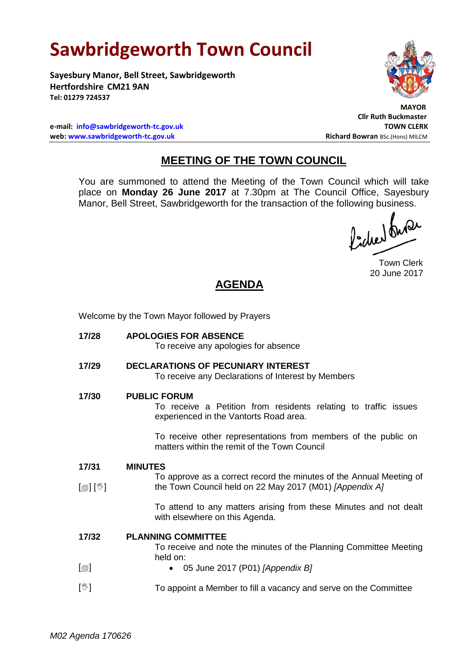# **Sawbridgeworth Town Council**

**Sayesbury Manor, Bell Street, Sawbridgeworth Hertfordshire CM21 9AN Tel: 01279 724537**

 **MAYOR**

**Cllr Ruth Buckmaster**

**e-mail: [info@sawbridgeworth-tc.gov.uk](mailto:info@sawbridgeworth-tc.gov.uk) TOWN CLERK web: www.sawbridgeworth-tc.gov.uk Richard Bowran BSc.(Hons) MILCM Richard Bowran BSc.(Hons) MILCM** 

## **MEETING OF THE TOWN COUNCIL**

You are summoned to attend the Meeting of the Town Council which will take place on **Monday 26 June 2017** at 7.30pm at The Council Office, Sayesbury Manor, Bell Street, Sawbridgeworth for the transaction of the following business.<br>  $\int_{-1}^{1} \int_{-\infty}^{\infty} \sqrt{2\pi}$ 

Town Clerk 20 June 2017

## **AGENDA**

Welcome by the Town Mayor followed by Prayers

| 17/28                                   | <b>APOLOGIES FOR ABSENCE</b><br>To receive any apologies for absence                                                                                                                                                                                    |
|-----------------------------------------|---------------------------------------------------------------------------------------------------------------------------------------------------------------------------------------------------------------------------------------------------------|
| 17/29                                   | <b>DECLARATIONS OF PECUNIARY INTEREST</b><br>To receive any Declarations of Interest by Members                                                                                                                                                         |
| 17/30                                   | <b>PUBLIC FORUM</b><br>To receive a Petition from residents relating to traffic issues<br>experienced in the Vantorts Road area.<br>To receive other representations from members of the public on<br>matters within the remit of the Town Council      |
| 17/31<br>$\mathbb{D}[\mathbb{D}^1]$     | <b>MINUTES</b><br>To approve as a correct record the minutes of the Annual Meeting of<br>the Town Council held on 22 May 2017 (M01) [Appendix A]<br>To attend to any matters arising from these Minutes and not dealt<br>with elsewhere on this Agenda. |
| 17/32<br>$\lbrack \blacksquare \rbrack$ | <b>PLANNING COMMITTEE</b><br>To receive and note the minutes of the Planning Committee Meeting<br>held on:<br>05 June 2017 (P01) [Appendix B]<br>$\bullet$                                                                                              |
| $[\mathbb{V}]$                          | To appoint a Member to fill a vacancy and serve on the Committee                                                                                                                                                                                        |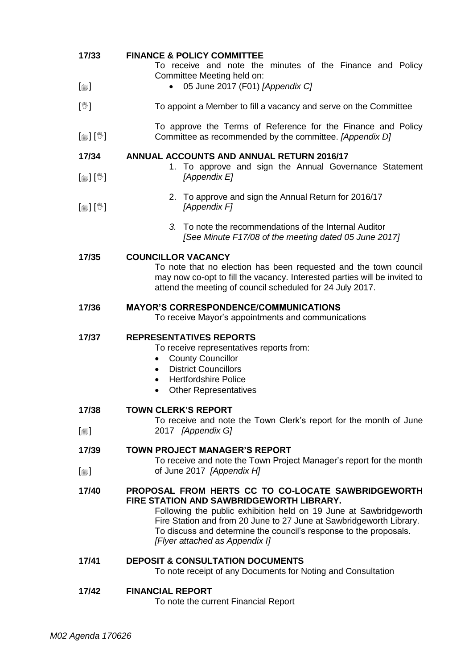| 17/33<br>$\lbrack \oplus \rbrack$ | <b>FINANCE &amp; POLICY COMMITTEE</b><br>To receive and note the minutes of the Finance and Policy<br>Committee Meeting held on:<br>05 June 2017 (F01) [Appendix C]<br>$\bullet$                                                                                                                                                                  |
|-----------------------------------|---------------------------------------------------------------------------------------------------------------------------------------------------------------------------------------------------------------------------------------------------------------------------------------------------------------------------------------------------|
|                                   |                                                                                                                                                                                                                                                                                                                                                   |
| $[\mathbb{V}]$                    | To appoint a Member to fill a vacancy and serve on the Committee                                                                                                                                                                                                                                                                                  |
| $\mathbb{D}[\mathbb{D}^1]$        | To approve the Terms of Reference for the Finance and Policy<br>Committee as recommended by the committee. [Appendix D]                                                                                                                                                                                                                           |
| 17/34                             | <b>ANNUAL ACCOUNTS AND ANNUAL RETURN 2016/17</b>                                                                                                                                                                                                                                                                                                  |
| $\mathbb{D}[\mathbb{D}^1]$        | 1. To approve and sign the Annual Governance Statement<br>[Appendix E]                                                                                                                                                                                                                                                                            |
| $[\circledast]$ $[\circledast]$   | 2. To approve and sign the Annual Return for 2016/17<br>[Appendix F]                                                                                                                                                                                                                                                                              |
|                                   | 3. To note the recommendations of the Internal Auditor<br>[See Minute F17/08 of the meeting dated 05 June 2017]                                                                                                                                                                                                                                   |
| 17/35                             | <b>COUNCILLOR VACANCY</b><br>To note that no election has been requested and the town council<br>may now co-opt to fill the vacancy. Interested parties will be invited to<br>attend the meeting of council scheduled for 24 July 2017.                                                                                                           |
| 17/36                             | <b>MAYOR'S CORRESPONDENCE/COMMUNICATIONS</b><br>To receive Mayor's appointments and communications                                                                                                                                                                                                                                                |
| 17/37                             | <b>REPRESENTATIVES REPORTS</b><br>To receive representatives reports from:<br><b>County Councillor</b><br><b>District Councillors</b><br>$\bullet$<br><b>Hertfordshire Police</b><br>$\bullet$<br><b>Other Representatives</b><br>٠                                                                                                               |
| 17/38                             | <b>TOWN CLERK'S REPORT</b><br>To receive and note the Town Clerk's report for the month of June                                                                                                                                                                                                                                                   |
| $\lbrack \oplus \rbrack$          | 2017 [Appendix G]                                                                                                                                                                                                                                                                                                                                 |
| 17/39                             | <b>TOWN PROJECT MANAGER'S REPORT</b>                                                                                                                                                                                                                                                                                                              |
| $\lceil \circledcirc \rceil$      | To receive and note the Town Project Manager's report for the month<br>of June 2017 [Appendix H]                                                                                                                                                                                                                                                  |
| 17/40                             | PROPOSAL FROM HERTS CC TO CO-LOCATE SAWBRIDGEWORTH<br>FIRE STATION AND SAWBRIDGEWORTH LIBRARY.<br>Following the public exhibition held on 19 June at Sawbridgeworth<br>Fire Station and from 20 June to 27 June at Sawbridgeworth Library.<br>To discuss and determine the council's response to the proposals.<br>[Flyer attached as Appendix I] |
| 17/41                             | <b>DEPOSIT &amp; CONSULTATION DOCUMENTS</b><br>To note receipt of any Documents for Noting and Consultation                                                                                                                                                                                                                                       |
| 17/42                             | <b>FINANCIAL REPORT</b><br>To note the current Financial Report                                                                                                                                                                                                                                                                                   |